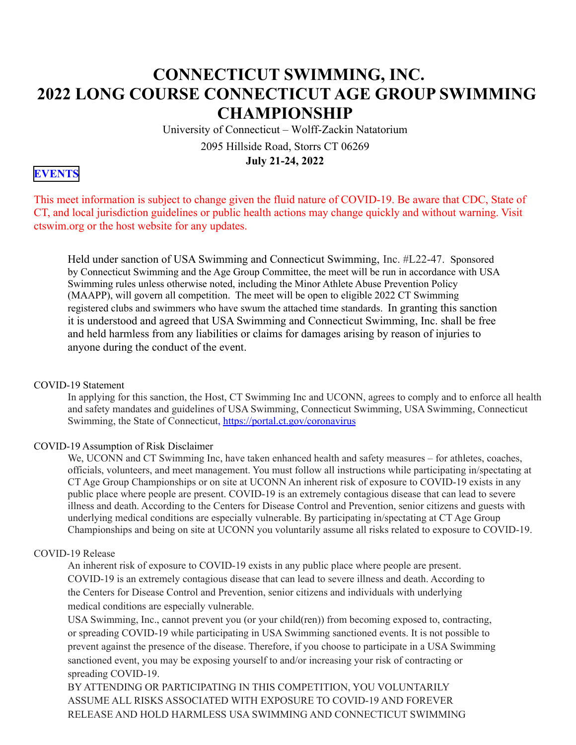# **CONNECTICUT SWIMMING, INC. 2022 LONG COURSE CONNECTICUT AGE GROUP SWIMMING CHAMPIONSHIP**

University of Connecticut – Wolff-Zackin Natatorium

2095 Hillside Road, Storrs CT 06269 **July 21-24, 2022**

### **[EVENTS](#page-9-0)**

This meet information is subject to change given the fluid nature of COVID-19. Be aware that CDC, State of CT, and local jurisdiction guidelines or public health actions may change quickly and without warning. Visit ctswim.org or the host website for any updates.

Held under sanction of USA Swimming and Connecticut Swimming, Inc. #L22-47. Sponsored by Connecticut Swimming and the Age Group Committee, the meet will be run in accordance with USA Swimming rules unless otherwise noted, including the Minor Athlete Abuse Prevention Policy (MAAPP), will govern all competition. The meet will be open to eligible 2022 CT Swimming registered clubs and swimmers who have swum the attached time standards. In granting this sanction it is understood and agreed that USA Swimming and Connecticut Swimming, Inc. shall be free and held harmless from any liabilities or claims for damages arising by reason of injuries to anyone during the conduct of the event.

#### COVID-19 Statement

In applying for this sanction, the Host, CT Swimming Inc and UCONN, agrees to comply and to enforce all health and safety mandates and guidelines of USA Swimming, Connecticut Swimming, USA Swimming, Connecticut Swimming, the State of Connecticut,<https://portal.ct.gov/coronavirus>

#### COVID-19 Assumption of Risk Disclaimer

We, UCONN and CT Swimming Inc, have taken enhanced health and safety measures – for athletes, coaches, officials, volunteers, and meet management. You must follow all instructions while participating in/spectating at CT Age Group Championships or on site at UCONN An inherent risk of exposure to COVID-19 exists in any public place where people are present. COVID-19 is an extremely contagious disease that can lead to severe illness and death. According to the Centers for Disease Control and Prevention, senior citizens and guests with underlying medical conditions are especially vulnerable. By participating in/spectating at CT Age Group Championships and being on site at UCONN you voluntarily assume all risks related to exposure to COVID-19.

#### COVID-19 Release

An inherent risk of exposure to COVID-19 exists in any public place where people are present. COVID-19 is an extremely contagious disease that can lead to severe illness and death. According to the Centers for Disease Control and Prevention, senior citizens and individuals with underlying medical conditions are especially vulnerable.

USA Swimming, Inc., cannot prevent you (or your child(ren)) from becoming exposed to, contracting, or spreading COVID-19 while participating in USA Swimming sanctioned events. It is not possible to prevent against the presence of the disease. Therefore, if you choose to participate in a USA Swimming sanctioned event, you may be exposing yourself to and/or increasing your risk of contracting or spreading COVID-19.

BY ATTENDING OR PARTICIPATING IN THIS COMPETITION, YOU VOLUNTARILY ASSUME ALL RISKS ASSOCIATED WITH EXPOSURE TO COVID-19 AND FOREVER RELEASE AND HOLD HARMLESS USA SWIMMING AND CONNECTICUT SWIMMING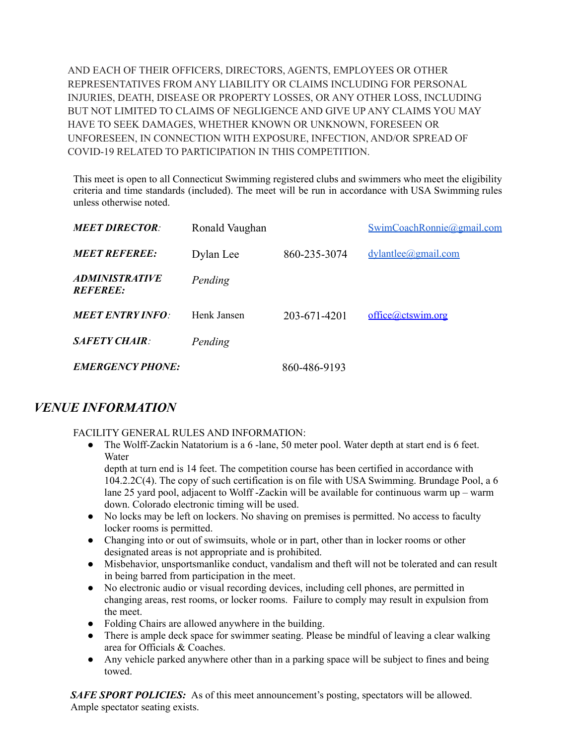AND EACH OF THEIR OFFICERS, DIRECTORS, AGENTS, EMPLOYEES OR OTHER REPRESENTATIVES FROM ANY LIABILITY OR CLAIMS INCLUDING FOR PERSONAL INJURIES, DEATH, DISEASE OR PROPERTY LOSSES, OR ANY OTHER LOSS, INCLUDING BUT NOT LIMITED TO CLAIMS OF NEGLIGENCE AND GIVE UP ANY CLAIMS YOU MAY HAVE TO SEEK DAMAGES, WHETHER KNOWN OR UNKNOWN, FORESEEN OR UNFORESEEN, IN CONNECTION WITH EXPOSURE, INFECTION, AND/OR SPREAD OF COVID-19 RELATED TO PARTICIPATION IN THIS COMPETITION.

This meet is open to all Connecticut Swimming registered clubs and swimmers who meet the eligibility criteria and time standards (included). The meet will be run in accordance with USA Swimming rules unless otherwise noted.

| <b>MEET DIRECTOR:</b>                           | Ronald Vaughan |              | SwimCoachRonnie@gmail.com |
|-------------------------------------------------|----------------|--------------|---------------------------|
| <b>MEET REFEREE:</b>                            | Dylan Lee      | 860-235-3074 | $dy$ lantlee@gmail.com    |
| <i><b>ADMINISTRATIVE</b></i><br><b>REFEREE:</b> | Pending        |              |                           |
| <b>MEET ENTRY INFO:</b>                         | Henk Jansen    | 203-671-4201 | office@ctswim.org         |
| $SA$ <i>FETY</i> CHAIR $\cdot$                  | Pending        |              |                           |
| <b>EMERGENCY PHONE:</b>                         |                | 860-486-9193 |                           |

## *VENUE INFORMATION*

FACILITY GENERAL RULES AND INFORMATION:

● The Wolff-Zackin Natatorium is a 6 -lane, 50 meter pool. Water depth at start end is 6 feet. Water

depth at turn end is 14 feet. The competition course has been certified in accordance with 104.2.2C(4). The copy of such certification is on file with USA Swimming. Brundage Pool, a 6 lane 25 yard pool, adjacent to Wolff -Zackin will be available for continuous warm up – warm down. Colorado electronic timing will be used.

- *●* No locks may be left on lockers. No shaving on premises is permitted. No access to faculty locker rooms is permitted.
- *●* Changing into or out of swimsuits, whole or in part, other than in locker rooms or other designated areas is not appropriate and is prohibited.
- *●* Misbehavior, unsportsmanlike conduct, vandalism and theft will not be tolerated and can result in being barred from participation in the meet.
- No electronic audio or visual recording devices, including cell phones, are permitted in changing areas, rest rooms, or locker rooms. Failure to comply may result in expulsion from the meet.
- Folding Chairs are allowed anywhere in the building.
- There is ample deck space for swimmer seating. Please be mindful of leaving a clear walking area for Officials & Coaches.
- Any vehicle parked anywhere other than in a parking space will be subject to fines and being towed.

*SAFE SPORT POLICIES:* As of this meet announcement's posting, spectators will be allowed. Ample spectator seating exists.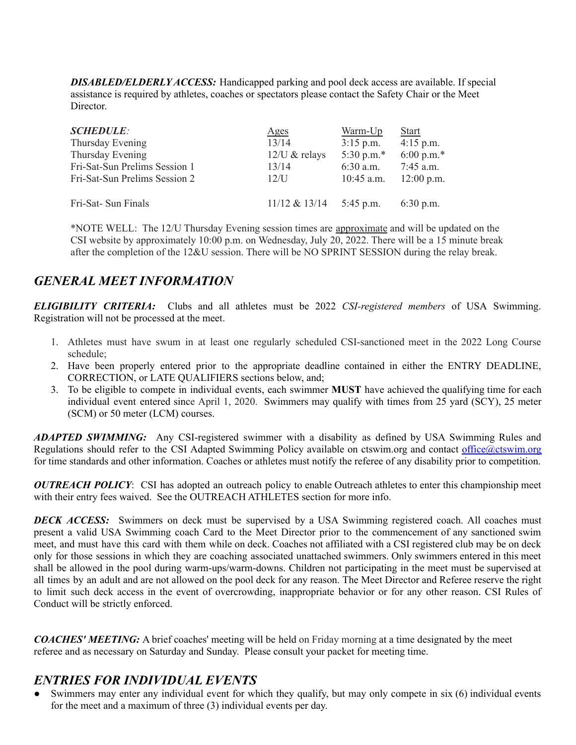*DISABLED/ELDERLY ACCESS:* Handicapped parking and pool deck access are available. If special assistance is required by athletes, coaches or spectators please contact the Safety Chair or the Meet **Director** 

| <b>SCHEDULE:</b>              | Ages             | Warm-Up       | <b>Start</b> |
|-------------------------------|------------------|---------------|--------------|
| Thursday Evening              | 13/14            | $3:15$ p.m.   | $4:15$ p.m.  |
| Thursday Evening              | $12$ /U & relays | 5:30 p.m. $*$ | 6:00 p.m.*   |
| Fri-Sat-Sun Prelims Session 1 | 13/14            | $6:30$ a.m.   | $7:45$ a.m.  |
| Fri-Sat-Sun Prelims Session 2 | 12/I             | $10:45$ a.m.  | $12:00$ p.m. |
| Fri-Sat- Sun Finals           | $11/12 \& 13/14$ | 5:45 p.m.     | $6:30$ p.m.  |

\*NOTE WELL: The 12/U Thursday Evening session times are approximate and will be updated on the CSI website by approximately 10:00 p.m. on Wednesday, July 20, 2022. There will be a 15 minute break after the completion of the 12&U session. There will be NO SPRINT SESSION during the relay break.

## *GENERAL MEET INFORMATION*

*ELIGIBILITY CRITERIA:* Clubs and all athletes must be 2022 *CSI-registered members* of USA Swimming. Registration will not be processed at the meet.

- 1. Athletes must have swum in at least one regularly scheduled CSI-sanctioned meet in the 2022 Long Course schedule;
- 2. Have been properly entered prior to the appropriate deadline contained in either the ENTRY DEADLINE, CORRECTION, or LATE QUALIFIERS sections below, and;
- 3. To be eligible to compete in individual events, each swimmer **MUST** have achieved the qualifying time for each individual event entered since April 1, 2020. Swimmers may qualify with times from 25 yard (SCY), 25 meter (SCM) or 50 meter (LCM) courses.

*ADAPTED SWIMMING:* Any CSI-registered swimmer with a disability as defined by USA Swimming Rules and Regulations should refer to the CSI Adapted Swimming Policy available on ctswim.org and contact [office@ctswim.org](mailto:office@ctswim.org) for time standards and other information. Coaches or athletes must notify the referee of any disability prior to competition.

*OUTREACH POLICY*: CSI has adopted an outreach policy to enable Outreach athletes to enter this championship meet with their entry fees waived. See the OUTREACH ATHLETES section for more info.

*DECK ACCESS:* Swimmers on deck must be supervised by a USA Swimming registered coach. All coaches must present a valid USA Swimming coach Card to the Meet Director prior to the commencement of any sanctioned swim meet, and must have this card with them while on deck. Coaches not affiliated with a CSI registered club may be on deck only for those sessions in which they are coaching associated unattached swimmers. Only swimmers entered in this meet shall be allowed in the pool during warm-ups/warm-downs. Children not participating in the meet must be supervised at all times by an adult and are not allowed on the pool deck for any reason. The Meet Director and Referee reserve the right to limit such deck access in the event of overcrowding, inappropriate behavior or for any other reason. CSI Rules of Conduct will be strictly enforced.

*COACHES' MEETING:* A brief coaches' meeting will be held on Friday morning at a time designated by the meet referee and as necessary on Saturday and Sunday. Please consult your packet for meeting time.

## *ENTRIES FOR INDIVIDUAL EVENTS*

• Swimmers may enter any individual event for which they qualify, but may only compete in six (6) individual events for the meet and a maximum of three (3) individual events per day.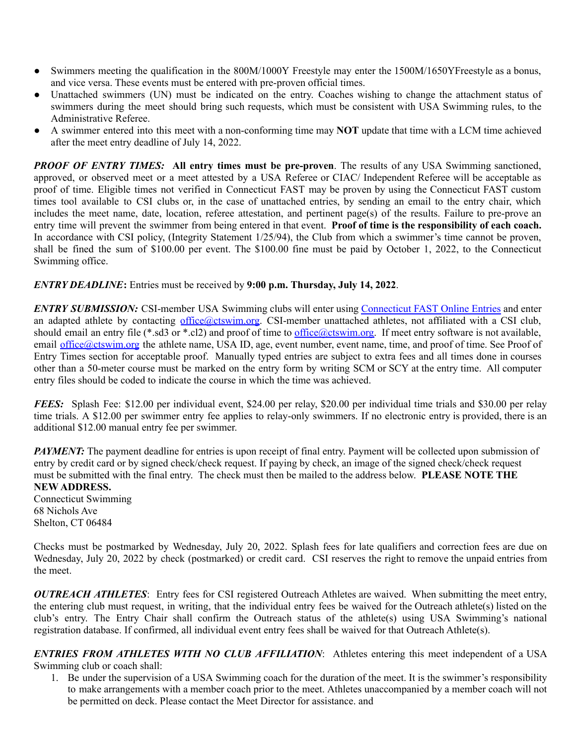- Swimmers meeting the qualification in the 800M/1000Y Freestyle may enter the 1500M/1650YFreestyle as a bonus, and vice versa. These events must be entered with pre-proven official times.
- Unattached swimmers (UN) must be indicated on the entry. Coaches wishing to change the attachment status of swimmers during the meet should bring such requests, which must be consistent with USA Swimming rules, to the Administrative Referee.
- A swimmer entered into this meet with a non-conforming time may **NOT** update that time with a LCM time achieved after the meet entry deadline of July 14, 2022.

*PROOF OF ENTRY TIMES:* **All entry times must be pre-proven**. The results of any USA Swimming sanctioned, approved, or observed meet or a meet attested by a USA Referee or CIAC/ Independent Referee will be acceptable as proof of time. Eligible times not verified in Connecticut FAST may be proven by using the Connecticut FAST custom times tool available to CSI clubs or, in the case of unattached entries, by sending an email to the entry chair, which includes the meet name, date, location, referee attestation, and pertinent page(s) of the results. Failure to pre-prove an entry time will prevent the swimmer from being entered in that event. **Proof of time is the responsibility of each coach.** In accordance with CSI policy, (Integrity Statement 1/25/94), the Club from which a swimmer's time cannot be proven, shall be fined the sum of \$100.00 per event. The \$100.00 fine must be paid by October 1, 2022, to the Connecticut Swimming office.

#### *ENTRY DEADLINE***:** Entries must be received by **9:00 p.m. Thursday, July 14, 2022**.

*ENTRY SUBMISSION:* CSI-member USA Swimming clubs will enter using [Connecticut](http://ctswim.org/ctswim/Articles2/OnlineEntries.htm) FAST Online Entries and enter an adapted athlete by contacting [office@ctswim.org](mailto:office@ctswim.org). CSI-member unattached athletes, not affiliated with a CSI club, should email an entry file (\*.sd3 or \*.cl2) and proof of time to  $\frac{office@ctswim.org}{office@ctswim.org}$ . If meet entry software is not available, email [office@ctswim.org](mailto:office@ctswim.org) the athlete name, USA ID, age, event number, event name, time, and proof of time. See Proof of Entry Times section for acceptable proof. Manually typed entries are subject to extra fees and all times done in courses other than a 50-meter course must be marked on the entry form by writing SCM or SCY at the entry time. All computer entry files should be coded to indicate the course in which the time was achieved.

*FEES:* Splash Fee: \$12.00 per individual event, \$24.00 per relay, \$20.00 per individual time trials and \$30.00 per relay time trials. A \$12.00 per swimmer entry fee applies to relay-only swimmers. If no electronic entry is provided, there is an additional \$12.00 manual entry fee per swimmer.

*PAYMENT*: The payment deadline for entries is upon receipt of final entry. Payment will be collected upon submission of entry by credit card or by signed check/check request. If paying by check, an image of the signed check/check request must be submitted with the final entry. The check must then be mailed to the address below. **PLEASE NOTE THE NEW ADDRESS.**

Connecticut Swimming 68 Nichols Ave Shelton, CT 06484

Checks must be postmarked by Wednesday, July 20, 2022. Splash fees for late qualifiers and correction fees are due on Wednesday, July 20, 2022 by check (postmarked) or credit card. CSI reserves the right to remove the unpaid entries from the meet.

*OUTREACH ATHLETES*: Entry fees for CSI registered Outreach Athletes are waived. When submitting the meet entry, the entering club must request, in writing, that the individual entry fees be waived for the Outreach athlete(s) listed on the club's entry. The Entry Chair shall confirm the Outreach status of the athlete(s) using USA Swimming's national registration database. If confirmed, all individual event entry fees shall be waived for that Outreach Athlete(s).

*ENTRIES FROM ATHLETES WITH NO CLUB AFFILIATION*: Athletes entering this meet independent of a USA Swimming club or coach shall:

1. Be under the supervision of a USA Swimming coach for the duration of the meet. It is the swimmer's responsibility to make arrangements with a member coach prior to the meet. Athletes unaccompanied by a member coach will not be permitted on deck. Please contact the Meet Director for assistance. and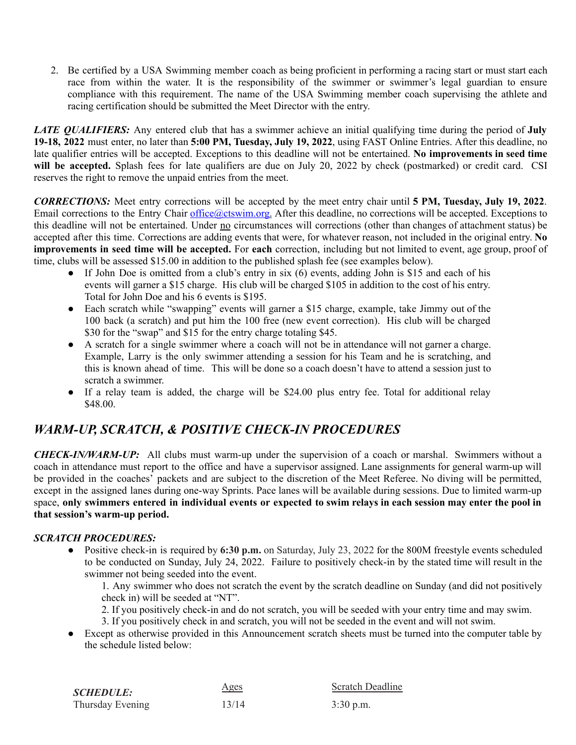2. Be certified by a USA Swimming member coach as being proficient in performing a racing start or must start each race from within the water. It is the responsibility of the swimmer or swimmer's legal guardian to ensure compliance with this requirement. The name of the USA Swimming member coach supervising the athlete and racing certification should be submitted the Meet Director with the entry.

*LATE QUALIFIERS:* Any entered club that has a swimmer achieve an initial qualifying time during the period of **July 19-18, 2022** must enter, no later than **5:00 PM, Tuesday, July 19, 2022**, using FAST Online Entries. After this deadline, no late qualifier entries will be accepted. Exceptions to this deadline will not be entertained. **No improvements in seed time** will be accepted. Splash fees for late qualifiers are due on July 20, 2022 by check (postmarked) or credit card. CSI reserves the right to remove the unpaid entries from the meet.

*CORRECTIONS:* Meet entry corrections will be accepted by the meet entry chair until **5 PM, Tuesday, July 19, 2022**. Email corrections to the Entry Chair [office@ctswim.org.](mailto:office@ctswim.org) After this deadline, no corrections will be accepted. Exceptions to this deadline will not be entertained. Under no circumstances will corrections (other than changes of attachment status) be accepted after this time. Corrections are adding events that were, for whatever reason, not included in the original entry. **No improvements in seed time will be accepted.** For **each** correction, including but not limited to event, age group, proof of time, clubs will be assessed \$15.00 in addition to the published splash fee (see examples below).

- If John Doe is omitted from a club's entry in six (6) events, adding John is \$15 and each of his events will garner a \$15 charge. His club will be charged \$105 in addition to the cost of his entry. Total for John Doe and his 6 events is \$195.
- Each scratch while "swapping" events will garner a \$15 charge, example, take Jimmy out of the 100 back (a scratch) and put him the 100 free (new event correction). His club will be charged \$30 for the "swap" and \$15 for the entry charge totaling \$45.
- A scratch for a single swimmer where a coach will not be in attendance will not garner a charge. Example, Larry is the only swimmer attending a session for his Team and he is scratching, and this is known ahead of time. This will be done so a coach doesn't have to attend a session just to scratch a swimmer.
- If a relay team is added, the charge will be \$24.00 plus entry fee. Total for additional relay \$48.00.

## *WARM-UP, SCRATCH, & POSITIVE CHECK-IN PROCEDURES*

*CHECK-IN/WARM-UP:* All clubs must warm-up under the supervision of a coach or marshal. Swimmers without a coach in attendance must report to the office and have a supervisor assigned. Lane assignments for general warm-up will be provided in the coaches' packets and are subject to the discretion of the Meet Referee. No diving will be permitted, except in the assigned lanes during one-way Sprints. Pace lanes will be available during sessions. Due to limited warm-up space, **only swimmers entered in individual events or expected to swim relays in each session may enter the pool in that session's warm-up period.**

### *SCRATCH PROCEDURES:*

● Positive check-in is required by **6:30 p.m.** on Saturday, July 23, 2022 for the 800M freestyle events scheduled to be conducted on Sunday, July 24, 2022. Failure to positively check-in by the stated time will result in the swimmer not being seeded into the event.

1. Any swimmer who does not scratch the event by the scratch deadline on Sunday (and did not positively check in) will be seeded at "NT".

- 2. If you positively check-in and do not scratch, you will be seeded with your entry time and may swim.
- 3. If you positively check in and scratch, you will not be seeded in the event and will not swim.
- Except as otherwise provided in this Announcement scratch sheets must be turned into the computer table by the schedule listed below:

| <b>SCHEDULE:</b> | <u>Ages</u> | <b>Scratch Deadline</b> |
|------------------|-------------|-------------------------|
| Thursday Evening | 13/14       | $3:30$ p.m.             |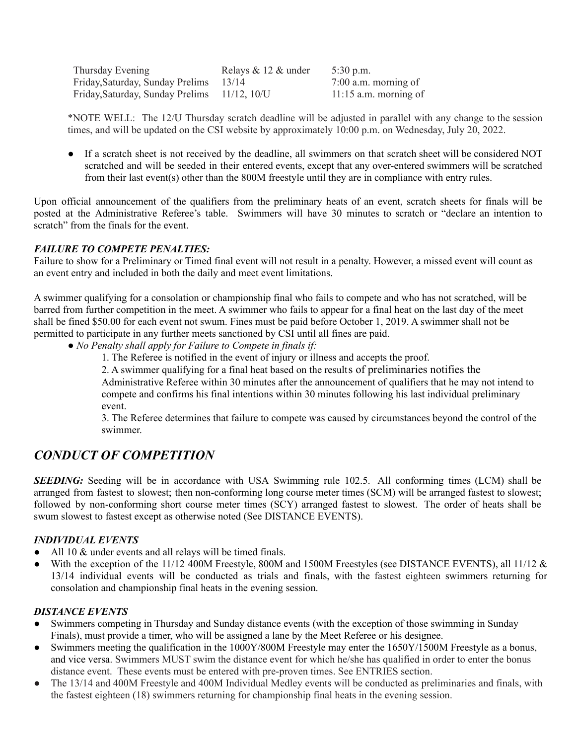| Thursday Evening                             | Relays $& 12 &$ under | $5:30$ p.m.             |
|----------------------------------------------|-----------------------|-------------------------|
| Friday, Saturday, Sunday Prelims             | 13/14                 | $7:00$ a.m. morning of  |
| Friday, Saturday, Sunday Prelims 11/12, 10/U |                       | $11:15$ a.m. morning of |

\*NOTE WELL: The 12/U Thursday scratch deadline will be adjusted in parallel with any change to the session times, and will be updated on the CSI website by approximately 10:00 p.m. on Wednesday, July 20, 2022.

● If a scratch sheet is not received by the deadline, all swimmers on that scratch sheet will be considered NOT scratched and will be seeded in their entered events, except that any over-entered swimmers will be scratched from their last event(s) other than the 800M freestyle until they are in compliance with entry rules.

Upon official announcement of the qualifiers from the preliminary heats of an event, scratch sheets for finals will be posted at the Administrative Referee's table. Swimmers will have 30 minutes to scratch or "declare an intention to scratch" from the finals for the event.

#### *FAILURE TO COMPETE PENALTIES:*

Failure to show for a Preliminary or Timed final event will not result in a penalty. However, a missed event will count as an event entry and included in both the daily and meet event limitations.

A swimmer qualifying for a consolation or championship final who fails to compete and who has not scratched, will be barred from further competition in the meet. A swimmer who fails to appear for a final heat on the last day of the meet shall be fined \$50.00 for each event not swum. Fines must be paid before October 1, 2019. A swimmer shall not be permitted to participate in any further meets sanctioned by CSI until all fines are paid.

- *No Penalty shall apply for Failure to Compete in finals if:*
	- 1. The Referee is notified in the event of injury or illness and accepts the proof.
	- 2. A swimmer qualifying for a final heat based on the results of preliminaries notifies the

Administrative Referee within 30 minutes after the announcement of qualifiers that he may not intend to compete and confirms his final intentions within 30 minutes following his last individual preliminary event.

3. The Referee determines that failure to compete was caused by circumstances beyond the control of the swimmer.

## *CONDUCT OF COMPETITION*

**SEEDING:** Seeding will be in accordance with USA Swimming rule 102.5. All conforming times (LCM) shall be arranged from fastest to slowest; then non-conforming long course meter times (SCM) will be arranged fastest to slowest; followed by non-conforming short course meter times (SCY) arranged fastest to slowest. The order of heats shall be swum slowest to fastest except as otherwise noted (See DISTANCE EVENTS).

### *INDIVIDUAL EVENTS*

- All 10 & under events and all relays will be timed finals.
- *●* With the exception of the 11/12 400M Freestyle, 800M and 1500M Freestyles (see DISTANCE EVENTS), all 11/12 & 13/14 individual events will be conducted as trials and finals, with the fastest eighteen swimmers returning for consolation and championship final heats in the evening session.

#### *DISTANCE EVENTS*

- Swimmers competing in Thursday and Sunday distance events (with the exception of those swimming in Sunday Finals), must provide a timer, who will be assigned a lane by the Meet Referee or his designee.
- Swimmers meeting the qualification in the 1000Y/800M Freestyle may enter the 1650Y/1500M Freestyle as a bonus, and vice versa. Swimmers MUST swim the distance event for which he/she has qualified in order to enter the bonus distance event. These events must be entered with pre-proven times. See ENTRIES section.
- The 13/14 and 400M Freestyle and 400M Individual Medley events will be conducted as preliminaries and finals, with the fastest eighteen (18) swimmers returning for championship final heats in the evening session.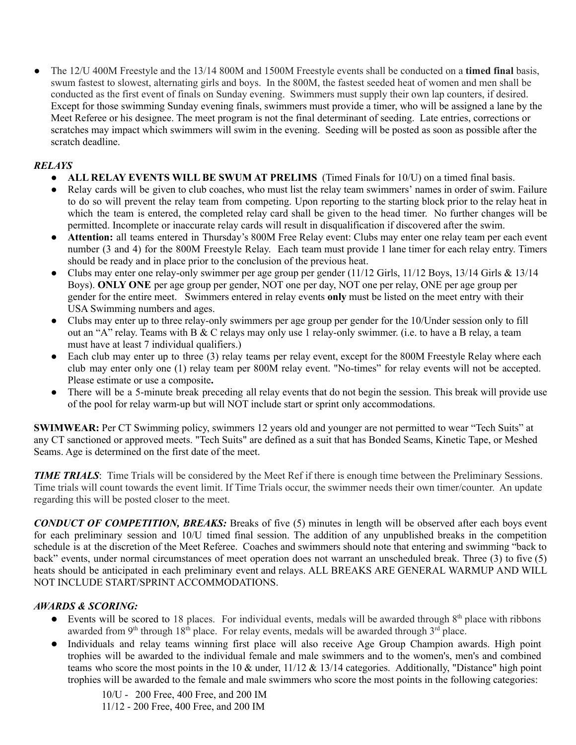● The 12/U 400M Freestyle and the 13/14 800M and 1500M Freestyle events shall be conducted on a **timed final** basis, swum fastest to slowest, alternating girls and boys. In the 800M, the fastest seeded heat of women and men shall be conducted as the first event of finals on Sunday evening. Swimmers must supply their own lap counters, if desired. Except for those swimming Sunday evening finals, swimmers must provide a timer, who will be assigned a lane by the Meet Referee or his designee. The meet program is not the final determinant of seeding. Late entries, corrections or scratches may impact which swimmers will swim in the evening. Seeding will be posted as soon as possible after the scratch deadline.

### *RELAYS*

- **ALL RELAY EVENTS WILL BE SWUM AT PRELIMS** (Timed Finals for 10/U) on a timed final basis.
- Relay cards will be given to club coaches, who must list the relay team swimmers' names in order of swim. Failure to do so will prevent the relay team from competing. Upon reporting to the starting block prior to the relay heat in which the team is entered, the completed relay card shall be given to the head timer. No further changes will be permitted. Incomplete or inaccurate relay cards will result in disqualification if discovered after the swim.
- **Attention:** all teams entered in Thursday's 800M Free Relay event: Clubs may enter one relay team per each event number (3 and 4) for the 800M Freestyle Relay. Each team must provide 1 lane timer for each relay entry. Timers should be ready and in place prior to the conclusion of the previous heat.
- Clubs may enter one relay-only swimmer per age group per gender (11/12 Girls, 11/12 Boys, 13/14 Girls & 13/14 Boys). **ONLY ONE** per age group per gender, NOT one per day, NOT one per relay, ONE per age group per gender for the entire meet. Swimmers entered in relay events **only** must be listed on the meet entry with their USA Swimming numbers and ages.
- Clubs may enter up to three relay-only swimmers per age group per gender for the 10/Under session only to fill out an "A" relay. Teams with B & C relays may only use 1 relay-only swimmer. (i.e. to have a B relay, a team must have at least 7 individual qualifiers.)
- Each club may enter up to three (3) relay teams per relay event, except for the 800M Freestyle Relay where each club may enter only one (1) relay team per 800M relay event. "No-times" for relay events will not be accepted. Please estimate or use a composite**.**
- There will be a 5-minute break preceding all relay events that do not begin the session. This break will provide use of the pool for relay warm-up but will NOT include start or sprint only accommodations.

**SWIMWEAR:** Per CT Swimming policy, swimmers 12 years old and younger are not permitted to wear "Tech Suits" at any CT sanctioned or approved meets. "Tech Suits" are defined as a suit that has Bonded Seams, Kinetic Tape, or Meshed Seams. Age is determined on the first date of the meet.

*TIME TRIALS*: Time Trials will be considered by the Meet Ref if there is enough time between the Preliminary Sessions. Time trials will count towards the event limit. If Time Trials occur, the swimmer needs their own timer/counter. An update regarding this will be posted closer to the meet.

*CONDUCT OF COMPETITION, BREAKS:* Breaks of five (5) minutes in length will be observed after each boys event for each preliminary session and 10/U timed final session. The addition of any unpublished breaks in the competition schedule is at the discretion of the Meet Referee. Coaches and swimmers should note that entering and swimming "back to back" events, under normal circumstances of meet operation does not warrant an unscheduled break. Three (3) to five (5) heats should be anticipated in each preliminary event and relays. ALL BREAKS ARE GENERAL WARMUP AND WILL NOT INCLUDE START/SPRINT ACCOMMODATIONS.

### *AWARDS & SCORING:*

- $\bullet$  Events will be scored to 18 places. For individual events, medals will be awarded through  $8<sup>th</sup>$  place with ribbons awarded from 9<sup>th</sup> through 18<sup>th</sup> place. For relay events, medals will be awarded through 3<sup>rd</sup> place.
- Individuals and relay teams winning first place will also receive Age Group Champion awards. High point trophies will be awarded to the individual female and male swimmers and to the women's, men's and combined teams who score the most points in the 10 & under, 11/12 & 13/14 categories. Additionally, "Distance" high point trophies will be awarded to the female and male swimmers who score the most points in the following categories:

10/U - 200 Free, 400 Free, and 200 IM 11/12 - 200 Free, 400 Free, and 200 IM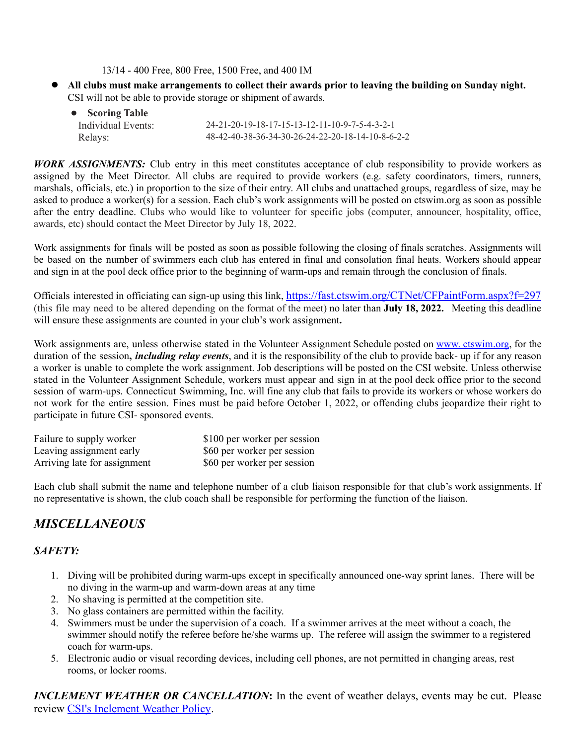13/14 - 400 Free, 800 Free, 1500 Free, and 400 IM

All clubs must make arrangements to collect their awards prior to leaving the building on Sunday night. CSI will not be able to provide storage or shipment of awards.

| • Scoring Table    |                                                   |
|--------------------|---------------------------------------------------|
| Individual Events: | $24-21-20-19-18-17-15-13-12-11-10-9-7-5-4-3-2-1$  |
| Relays:            | 48-42-40-38-36-34-30-26-24-22-20-18-14-10-8-6-2-2 |

*WORK ASSIGNMENTS:* Club entry in this meet constitutes acceptance of club responsibility to provide workers as assigned by the Meet Director. All clubs are required to provide workers (e.g. safety coordinators, timers, runners, marshals, officials, etc.) in proportion to the size of their entry. All clubs and unattached groups, regardless of size, may be asked to produce a worker(s) for a session. Each club's work assignments will be posted on ctswim.org as soon as possible after the entry deadline. Clubs who would like to volunteer for specific jobs (computer, announcer, hospitality, office, awards, etc) should contact the Meet Director by July 18, 2022.

Work assignments for finals will be posted as soon as possible following the closing of finals scratches. Assignments will be based on the number of swimmers each club has entered in final and consolation final heats. Workers should appear and sign in at the pool deck office prior to the beginning of warm-ups and remain through the conclusion of finals.

Officials interested in officiating can sign-up using this link, [https://fast.ctswim.org/CTNet/CFPaintForm.aspx?f=297](https://fast.ctswim.org/CTNet/CFPaintForm.aspx?f=297%20) (this file may need to be altered depending on the format of the meet) no later than **July 18, 2022.** Meeting this deadline will ensure these assignments are counted in your club's work assignment**.**

Work assignments are, unless otherwise stated in the Volunteer Assignment Schedule posted on www. [ctswim.org](http://ctswim.org), for the duration of the session**,** *including relay events*, and it is the responsibility of the club to provide back- up if for any reason a worker is unable to complete the work assignment. Job descriptions will be posted on the CSI website. Unless otherwise stated in the Volunteer Assignment Schedule, workers must appear and sign in at the pool deck office prior to the second session of warm-ups. Connecticut Swimming, Inc. will fine any club that fails to provide its workers or whose workers do not work for the entire session. Fines must be paid before October 1, 2022, or offending clubs jeopardize their right to participate in future CSI- sponsored events.

| Failure to supply worker     | \$100 per worker per session |
|------------------------------|------------------------------|
| Leaving assignment early     | \$60 per worker per session  |
| Arriving late for assignment | \$60 per worker per session  |

Each club shall submit the name and telephone number of a club liaison responsible for that club's work assignments. If no representative is shown, the club coach shall be responsible for performing the function of the liaison.

## *MISCELLANEOUS*

### *SAFETY:*

- 1. Diving will be prohibited during warm-ups except in specifically announced one-way sprint lanes. There will be no diving in the warm-up and warm-down areas at any time
- 2. No shaving is permitted at the competition site.
- 3. No glass containers are permitted within the facility.
- 4. Swimmers must be under the supervision of a coach. If a swimmer arrives at the meet without a coach, the swimmer should notify the referee before he/she warms up. The referee will assign the swimmer to a registered coach for warm-ups.
- 5. Electronic audio or visual recording devices, including cell phones, are not permitted in changing areas, rest rooms, or locker rooms.

*INCLEMENT WEATHER OR CANCELLATION***:** In the event of weather delays, events may be cut. Please review [CSI's Inclement Weather Policy](https://www.ctswim.org/Customer-Content/www/CMS/files/policies_meets/CancellationMeets.pdf).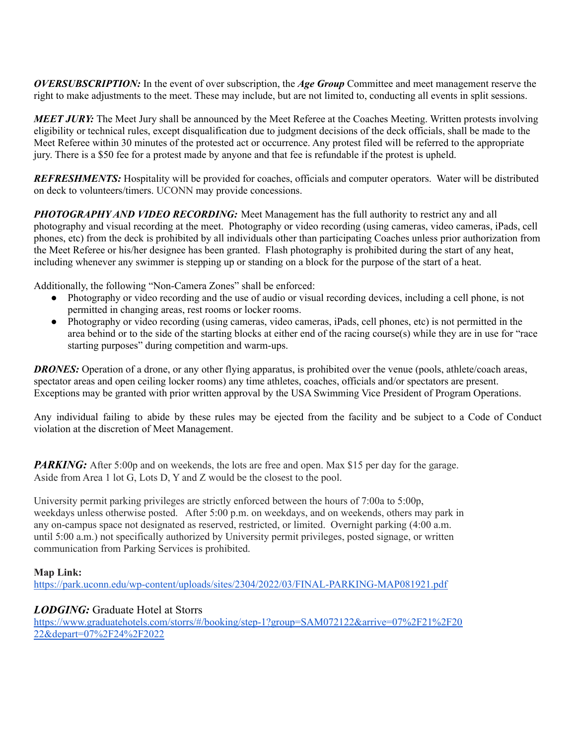*OVERSUBSCRIPTION:* In the event of over subscription, the *Age Group* Committee and meet management reserve the right to make adjustments to the meet. These may include, but are not limited to, conducting all events in split sessions.

*MEET JURY:* The Meet Jury shall be announced by the Meet Referee at the Coaches Meeting. Written protests involving eligibility or technical rules, except disqualification due to judgment decisions of the deck officials, shall be made to the Meet Referee within 30 minutes of the protested act or occurrence. Any protest filed will be referred to the appropriate jury. There is a \$50 fee for a protest made by anyone and that fee is refundable if the protest is upheld.

*REFRESHMENTS:* Hospitality will be provided for coaches, officials and computer operators. Water will be distributed on deck to volunteers/timers. UCONN may provide concessions.

*PHOTOGRAPHY AND VIDEO RECORDING:* Meet Management has the full authority to restrict any and all photography and visual recording at the meet. Photography or video recording (using cameras, video cameras, iPads, cell phones, etc) from the deck is prohibited by all individuals other than participating Coaches unless prior authorization from the Meet Referee or his/her designee has been granted. Flash photography is prohibited during the start of any heat, including whenever any swimmer is stepping up or standing on a block for the purpose of the start of a heat.

Additionally, the following "Non-Camera Zones" shall be enforced:

- Photography or video recording and the use of audio or visual recording devices, including a cell phone, is not permitted in changing areas, rest rooms or locker rooms.
- Photography or video recording (using cameras, video cameras, iPads, cell phones, etc) is not permitted in the area behind or to the side of the starting blocks at either end of the racing course(s) while they are in use for "race starting purposes" during competition and warm-ups.

*DRONES:* Operation of a drone, or any other flying apparatus, is prohibited over the venue (pools, athlete/coach areas, spectator areas and open ceiling locker rooms) any time athletes, coaches, officials and/or spectators are present. Exceptions may be granted with prior written approval by the USA Swimming Vice President of Program Operations.

Any individual failing to abide by these rules may be ejected from the facility and be subject to a Code of Conduct violation at the discretion of Meet Management.

*PARKING:* After 5:00p and on weekends, the lots are free and open. Max \$15 per day for the garage. Aside from Area 1 lot G, Lots D, Y and Z would be the closest to the pool.

University permit parking privileges are strictly enforced between the hours of 7:00a to 5:00p, weekdays unless otherwise posted. After 5:00 p.m. on weekdays, and on weekends, others may park in any on-campus space not designated as reserved, restricted, or limited. Overnight parking (4:00 a.m. until 5:00 a.m.) not specifically authorized by University permit privileges, posted signage, or written communication from Parking Services is prohibited.

### **Map Link:**

<https://park.uconn.edu/wp-content/uploads/sites/2304/2022/03/FINAL-PARKING-MAP081921.pdf>

### *LODGING:* Graduate Hotel at Storrs

[https://www.graduatehotels.com/storrs/#/booking/step-1?group=SAM072122&arrive=07%2F21%2F20](https://nam10.safelinks.protection.outlook.com/?url=https%3A%2F%2Fwww.graduatehotels.com%2Fstorrs%2F%23%2Fbooking%2Fstep-1%3Fgroup%3DSAM072122%26arrive%3D07%252F21%252F2022%26depart%3D07%252F24%252F2022&data=04%7C01%7C%7C9433c54ac9014618edc908da17e3e13b%7C17f1a87e2a254eaab9df9d439034b080%7C0%7C0%7C637848564756129576%7CUnknown%7CTWFpbGZsb3d8eyJWIjoiMC4wLjAwMDAiLCJQIjoiV2luMzIiLCJBTiI6Ik1haWwiLCJXVCI6Mn0%3D%7C3000&sdata=dhhmcXEYigqrrkepnqeIOX3d4dFHxaF8fj3gqL%2F5feE%3D&reserved=0) [22&depart=07%2F24%2F2022](https://nam10.safelinks.protection.outlook.com/?url=https%3A%2F%2Fwww.graduatehotels.com%2Fstorrs%2F%23%2Fbooking%2Fstep-1%3Fgroup%3DSAM072122%26arrive%3D07%252F21%252F2022%26depart%3D07%252F24%252F2022&data=04%7C01%7C%7C9433c54ac9014618edc908da17e3e13b%7C17f1a87e2a254eaab9df9d439034b080%7C0%7C0%7C637848564756129576%7CUnknown%7CTWFpbGZsb3d8eyJWIjoiMC4wLjAwMDAiLCJQIjoiV2luMzIiLCJBTiI6Ik1haWwiLCJXVCI6Mn0%3D%7C3000&sdata=dhhmcXEYigqrrkepnqeIOX3d4dFHxaF8fj3gqL%2F5feE%3D&reserved=0)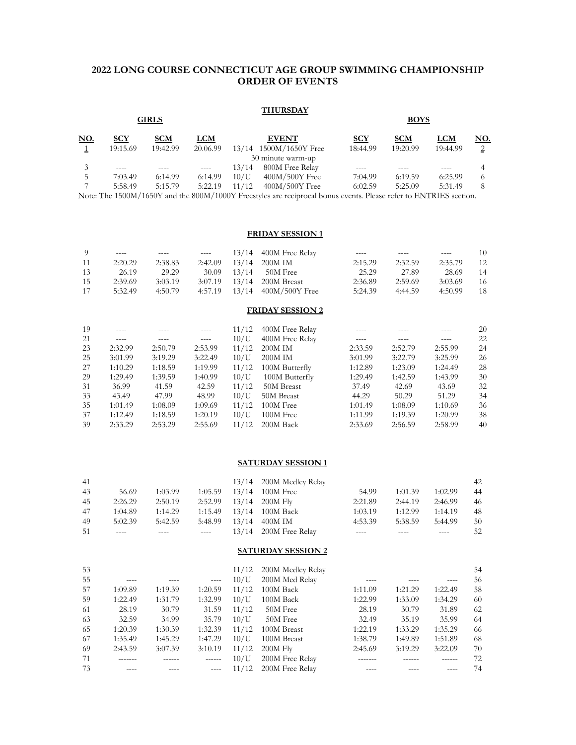#### <span id="page-9-0"></span>**2022 LONG COURSE CONNECTICUT AGE GROUP SWIMMING CHAMPIONSHIP ORDER OF EVENTS**

#### **THURSDAY**

|      |            | <b>GIRLS</b> |          |       |                        | <b>BOYS</b> |            |          |               |  |
|------|------------|--------------|----------|-------|------------------------|-------------|------------|----------|---------------|--|
| NO.  | <b>SCY</b> | <b>SCM</b>   | LCM      |       | <b>EVENT</b>           | <b>SCY</b>  | <b>SCM</b> | LCM      | NO.           |  |
|      | 19:15.69   | 19:42.99     | 20.06.99 |       | 13/14 1500M/1650Y Free | 18:44.99    | 19:20.99   | 19:44.99 | $\mathcal{D}$ |  |
|      |            |              |          |       | 30 minute warm-up      |             |            |          |               |  |
|      |            |              |          | 13/14 | 800M Free Relay        |             |            |          |               |  |
|      | 7:03.49    | 6:14.99      | 6:14.99  | 10/U  | $400M/500Y$ Free       | 7:04.99     | 6:19.59    | 6:25.99  |               |  |
|      | 5:58.49    | 5:15.79      | 5:22.19  | 11/12 | $400M/500Y$ Free       | 6:02.59     | 5:25.09    | 5:31.49  | 8             |  |
| $ -$ |            |              |          |       |                        | $-1$        |            |          |               |  |

Note: The 1500M/1650Y and the 800M/1000Y Freestyles are reciprocal bonus events. Please refer to ENTRIES section.

#### **FRIDAY SESSION 1**

| 9                       |         |         |         | 13/14 | 400M Free Relay |         |         |         | 10 |  |  |
|-------------------------|---------|---------|---------|-------|-----------------|---------|---------|---------|----|--|--|
| 11                      | 2:20.29 | 2:38.83 | 2:42.09 | 13/14 | 200M IM         | 2:15.29 | 2:32.59 | 2:35.79 | 12 |  |  |
| 13                      | 26.19   | 29.29   | 30.09   | 13/14 | 50M Free        | 25.29   | 27.89   | 28.69   | 14 |  |  |
| 15                      | 2:39.69 | 3:03.19 | 3:07.19 | 13/14 | 200M Breast     | 2:36.89 | 2:59.69 | 3:03.69 | 16 |  |  |
| 17                      | 5:32.49 | 4:50.79 | 4:57.19 | 13/14 | 400M/500Y Free  | 5:24.39 | 4:44.59 | 4:50.99 | 18 |  |  |
| <b>FRIDAY SESSION 2</b> |         |         |         |       |                 |         |         |         |    |  |  |
| 19                      |         |         |         | 11/12 | 400M Free Relay |         |         |         | 20 |  |  |
| 21                      |         |         |         | 10/U  | 400M Free Relay |         |         |         | 22 |  |  |
| 23                      | 2:32.99 | 2:50.79 | 2:53.99 | 11/12 | 200M IM         | 2:33.59 | 2:52.79 | 2:55.99 | 24 |  |  |
| 25                      | 3:01.99 | 3:19.29 | 3:22.49 | 10/U  | 200M IM         | 3:01.99 | 3:22.79 | 3:25.99 | 26 |  |  |
| 27                      | 1:10.29 | 1:18.59 | 1:19.99 | 11/12 | 100M Butterfly  | 1:12.89 | 1:23.09 | 1:24.49 | 28 |  |  |
| 29                      | 1:29.49 | 1:39.59 | 1:40.99 | 10/U  | 100M Butterfly  | 1:29.49 | 1:42.59 | 1:43.99 | 30 |  |  |
| 31                      | 36.99   | 41.59   | 42.59   | 11/12 | 50M Breast      | 37.49   | 42.69   | 43.69   | 32 |  |  |
| 33                      | 43.49   | 47.99   | 48.99   | 10/U  | 50M Breast      | 44.29   | 50.29   | 51.29   | 34 |  |  |
| 35                      | 1:01.49 | 1:08.09 | 1:09.69 | 11/12 | 100M Free       | 1:01.49 | 1:08.09 | 1:10.69 | 36 |  |  |
| 37                      | 1:12.49 | 1:18.59 | 1:20.19 | 10/U  | 100M Free       | 1:11.99 | 1:19.39 | 1:20.99 | 38 |  |  |
| 39                      | 2:33.29 | 2:53.29 | 2:55.69 | 11/12 | 200M Back       | 2:33.69 | 2:56.59 | 2:58.99 | 40 |  |  |

#### **SATURDAY SESSION 1**

| 41 |         |         |         | 13/14 200M Medley Relay      |         |         |         | 42  |
|----|---------|---------|---------|------------------------------|---------|---------|---------|-----|
| 43 | 56.69   | 1:03.99 | 1:05.59 | $13/14$ 100M Free            | 54.99   | 1:01.39 | 1:02.99 | -44 |
| 45 | 2:26.29 | 2:50.19 |         | $2:52.99$ $13/14$ $200M$ Fly | 2:21.89 | 2:44.19 | 2:46.99 | 46  |
| 47 | 1:04.89 | 1:14.29 | 1:15.49 | 13/14 100M Back              | 1:03.19 | 1:12.99 | 1:14.19 | 48  |
| 49 | 5:02.39 | 5:42.59 | 5:48.99 | $13/14$ 400M IM              | 4:53.39 | 5:38.59 | 5:44.99 | 50  |
| 51 | ----    |         |         | $13/14$ 200M Free Relay      | $--- -$ |         | ----    | 52  |

#### **SATURDAY SESSION 2**

| 53 |         |         |               |       | 11/12 200M Medley Relay |         |         |         | 54 |
|----|---------|---------|---------------|-------|-------------------------|---------|---------|---------|----|
| 55 |         |         | $---$         | 10/U  | 200M Med Relay          |         |         |         | 56 |
| 57 | 1:09.89 | 1:19.39 | 1:20.59       | 11/12 | 100M Back               | 1:11.09 | 1:21.29 | 1:22.49 | 58 |
| 59 | 1:22.49 | 1:31.79 | 1:32.99       | 10/U  | 100M Back               | 1:22.99 | 1:33.09 | 1:34.29 | 60 |
| 61 | 28.19   | 30.79   | 31.59         | 11/12 | 50M Free                | 28.19   | 30.79   | 31.89   | 62 |
| 63 | 32.59   | 34.99   | 35.79         | 10/U  | 50M Free                | 32.49   | 35.19   | 35.99   | 64 |
| 65 | 1:20.39 | 1:30.39 | 1:32.39       | 11/12 | 100M Breast             | 1:22.19 | 1:33.29 | 1:35.29 | 66 |
| 67 | 1:35.49 | 1:45.29 | 1:47.29       | 10/U  | 100M Breast             | 1:38.79 | 1:49.89 | 1:51.89 | 68 |
| 69 | 2:43.59 | 3:07.39 | 3:10.19       | 11/12 | $200M$ Fly              | 2:45.69 | 3:19.29 | 3:22.09 | 70 |
| 71 |         |         | $- - - - - -$ | 10/U  | 200M Free Relay         |         |         |         | 72 |
| 73 |         |         | $---$         | 11/12 | 200M Free Relay         |         |         |         | 74 |